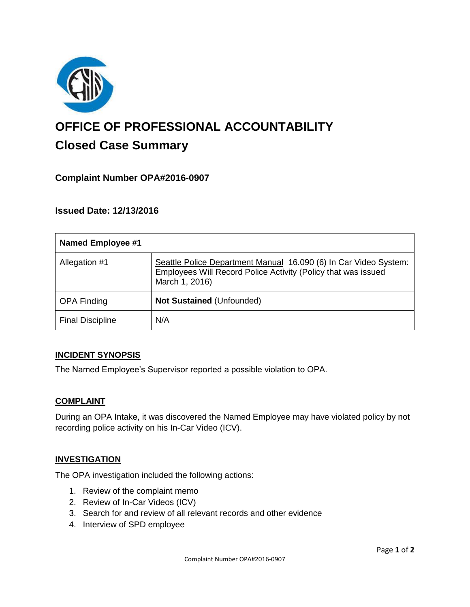

# **OFFICE OF PROFESSIONAL ACCOUNTABILITY Closed Case Summary**

## **Complaint Number OPA#2016-0907**

## **Issued Date: 12/13/2016**

| <b>Named Employee #1</b> |                                                                                                                                                     |
|--------------------------|-----------------------------------------------------------------------------------------------------------------------------------------------------|
| Allegation #1            | Seattle Police Department Manual 16.090 (6) In Car Video System:<br>Employees Will Record Police Activity (Policy that was issued<br>March 1, 2016) |
| <b>OPA Finding</b>       | Not Sustained (Unfounded)                                                                                                                           |
| <b>Final Discipline</b>  | N/A                                                                                                                                                 |

### **INCIDENT SYNOPSIS**

The Named Employee's Supervisor reported a possible violation to OPA.

### **COMPLAINT**

During an OPA Intake, it was discovered the Named Employee may have violated policy by not recording police activity on his In-Car Video (ICV).

### **INVESTIGATION**

The OPA investigation included the following actions:

- 1. Review of the complaint memo
- 2. Review of In-Car Videos (ICV)
- 3. Search for and review of all relevant records and other evidence
- 4. Interview of SPD employee